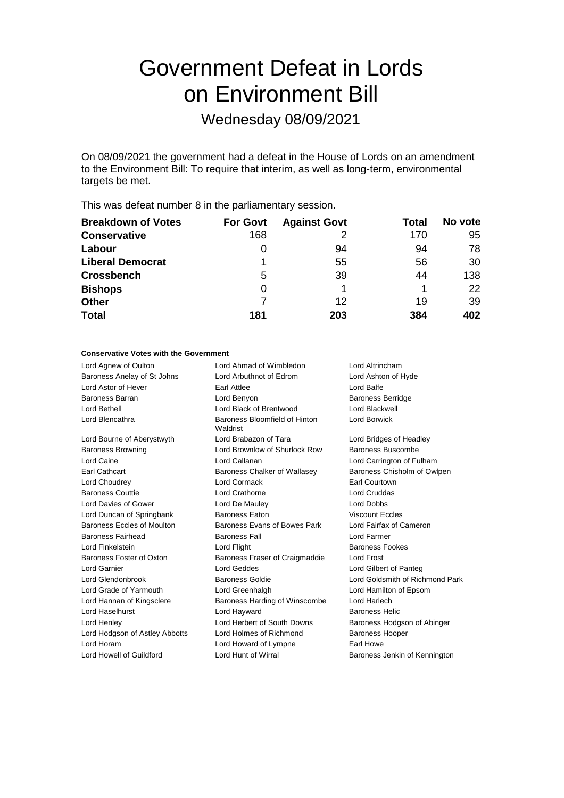# Government Defeat in Lords on Environment Bill

Wednesday 08/09/2021

On 08/09/2021 the government had a defeat in the House of Lords on an amendment to the Environment Bill: To require that interim, as well as long-term, environmental targets be met.

| <b>Breakdown of Votes</b> | <b>For Govt</b> | <b>Against Govt</b> | Total | No vote |
|---------------------------|-----------------|---------------------|-------|---------|
| <b>Conservative</b>       | 168             |                     | 170   | 95      |
| Labour                    | 0               | 94                  | 94    | 78      |
| <b>Liberal Democrat</b>   |                 | 55                  | 56    | 30      |
| <b>Crossbench</b>         | 5               | 39                  | 44    | 138     |
| <b>Bishops</b>            | 0               |                     |       | 22      |
| <b>Other</b>              |                 | 12                  | 19    | 39      |
| <b>Total</b>              | 181             | 203                 | 384   | 402     |
|                           |                 |                     |       |         |

This was defeat number 8 in the parliamentary session.

#### **Conservative Votes with the Government**

| Lord Agnew of Oulton           | Lord Ahmad of Wimbledon                   | Lord Altrincham                 |  |
|--------------------------------|-------------------------------------------|---------------------------------|--|
| Baroness Anelay of St Johns    | Lord Arbuthnot of Edrom                   | Lord Ashton of Hyde             |  |
| <b>Lord Astor of Hever</b>     | Earl Attlee                               | Lord Balfe                      |  |
| <b>Baroness Barran</b>         | Lord Benyon                               | <b>Baroness Berridge</b>        |  |
| Lord Bethell                   | Lord Black of Brentwood                   | Lord Blackwell                  |  |
| Lord Blencathra                | Baroness Bloomfield of Hinton<br>Waldrist | Lord Borwick                    |  |
| Lord Bourne of Aberystwyth     | Lord Brabazon of Tara                     | Lord Bridges of Headley         |  |
| <b>Baroness Browning</b>       | Lord Brownlow of Shurlock Row             | <b>Baroness Buscombe</b>        |  |
| Lord Caine                     | Lord Callanan                             | Lord Carrington of Fulham       |  |
| Earl Cathcart                  | Baroness Chalker of Wallasey              | Baroness Chisholm of Owlpen     |  |
| Lord Choudrey                  | Lord Cormack                              | Earl Courtown                   |  |
| <b>Baroness Couttie</b>        | Lord Crathorne                            | Lord Cruddas                    |  |
| Lord Davies of Gower           | Lord De Mauley                            | <b>Lord Dobbs</b>               |  |
| Lord Duncan of Springbank      | <b>Baroness Faton</b>                     | <b>Viscount Eccles</b>          |  |
| Baroness Eccles of Moulton     | Baroness Evans of Bowes Park              | Lord Fairfax of Cameron         |  |
| <b>Baroness Fairhead</b>       | <b>Baroness Fall</b>                      | Lord Farmer                     |  |
| Lord Finkelstein               | Lord Flight                               | <b>Baroness Fookes</b>          |  |
| Baroness Foster of Oxton       | Baroness Fraser of Craigmaddie            | <b>Lord Frost</b>               |  |
| <b>Lord Garnier</b>            | Lord Geddes                               | Lord Gilbert of Panteg          |  |
| Lord Glendonbrook              | <b>Baroness Goldie</b>                    | Lord Goldsmith of Richmond Park |  |
| Lord Grade of Yarmouth         | Lord Greenhalgh                           | Lord Hamilton of Epsom          |  |
| Lord Hannan of Kingsclere      | Baroness Harding of Winscombe             | Lord Harlech                    |  |
| <b>Lord Haselhurst</b>         | Lord Hayward                              | <b>Baroness Helic</b>           |  |
| Lord Henley                    | Lord Herbert of South Downs               | Baroness Hodgson of Abinger     |  |
| Lord Hodgson of Astley Abbotts | Lord Holmes of Richmond                   | <b>Baroness Hooper</b>          |  |
| Lord Horam                     | Lord Howard of Lympne                     | Earl Howe                       |  |
| Lord Howell of Guildford       | Lord Hunt of Wirral                       | Baroness Jenkin of Kennington   |  |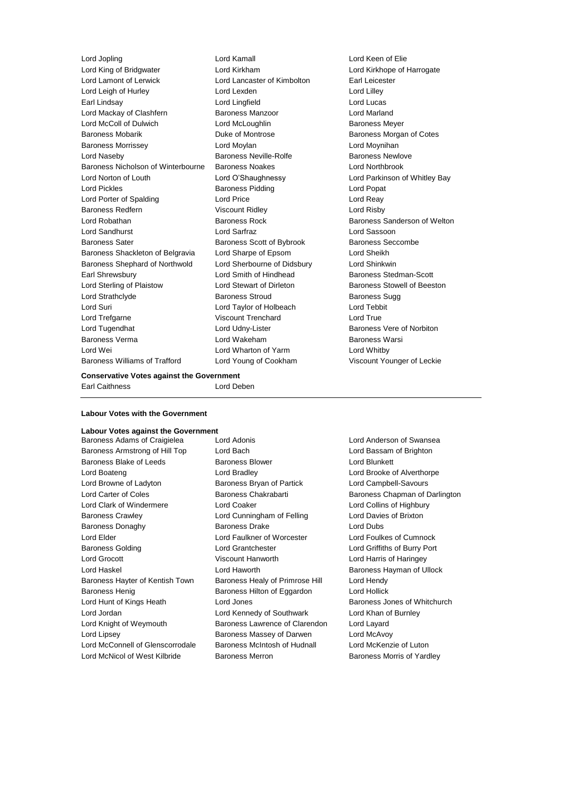Lord King of Bridgwater Lord Kirkham Lord Kirkhope of Harrogate Lord Lamont of Lerwick Lord Lancaster of Kimbolton Earl Leicester Lord Leigh of Hurley **Lord Lexden** Lord Lexden Lord Lilley Earl Lindsay **Lord Lingfield** Lord Lingfield **Lord Lingfield** Lord Lucas Lord Mackay of Clashfern Baroness Manzoor Lord Marland Lord McColl of Dulwich Lord McLoughlin Baroness Meyer Baroness Mobarik Duke of Montrose Baroness Morgan of Cotes Baroness Morrissey **Lord Moylan** Lord Moynihan Lord Moynihan Lord Naseby **Baroness Neville-Rolfe** Baroness Newlove Baroness Nicholson of Winterbourne Baroness Noakes Lord Northbrook Lord Norton of Louth Lord O'Shaughnessy Lord Parkinson of Whitley Bay Lord Pickles Baroness Pidding Lord Popat Lord Porter of Spalding **Lord Price** Lord Price **Lord Reay** Baroness Redfern Viscount Ridley Correct Lord Risby Lord Robathan Baroness Rock Baroness Sanderson of Welton Lord Sandhurst Lord Sarfraz Lord Sassoon Baroness Sater **Baroness Scott of Bybrook** Baroness Seccombe Baroness Shackleton of Belgravia Lord Sharpe of Epsom Lord Sheikh Baroness Shephard of Northwold Lord Sherbourne of Didsbury Lord Shinkwin Earl Shrewsbury **Example 20** Lord Smith of Hindhead Baroness Stedman-Scott Lord Sterling of Plaistow Lord Stewart of Dirleton Baroness Stowell of Beeston Lord Strathclyde **Baroness Stroud** Baroness Stroud Baroness Sugg Lord Suri Lord Taylor of Holbeach Lord Tebbit Lord Trefgarne Viscount Trenchard Lord True Lord Tugendhat Lord Udny-Lister Baroness Vere of Norbiton Baroness Verma Lord Wakeham Baroness Warsi Lord Wei **Lord Wharton of Yarm** Cord Whitby Baroness Williams of Trafford Lord Young of Cookham Viscount Younger of Leckie

Lord Jopling Lord Kamall Lord Keen of Elie

### **Conservative Votes against the Government**

Earl Caithness Lord Deben

## **Labour Votes with the Government**

# **Labour Votes against the Government**<br>Baroness Adams of Craigielea Lord Adonis

Baroness Armstrong of Hill Top Lord Bach Lord Bach Lord Bassam of Brighton Baroness Blake of Leeds **Baroness Blower** Baroness Blower **Lord Blunkett** Lord Boateng Lord Bradley Lord Brooke of Alverthorpe Lord Browne of Ladyton **Baroness Bryan of Partick** Lord Campbell-Savours Lord Carter of Coles **Baroness Chakrabarti** Baroness Chapman of Darlington Lord Clark of Windermere Lord Coaker Lord Collins of Highbury Baroness Crawley Lord Cunningham of Felling Lord Davies of Brixton Baroness Donaghy **Baroness Drake** Lord Dubs Lord Elder Lord Faulkner of Worcester Lord Foulkes of Cumnock Baroness Golding Lord Grantchester Lord Griffiths of Burry Port Lord Grocott Viscount Hanworth Lord Harris of Haringey Lord Haskel Lord Haworth Baroness Hayman of Ullock Baroness Hayter of Kentish Town Baroness Healy of Primrose Hill Lord Hendy Baroness Henig Baroness Hilton of Eggardon Lord Hollick Lord Hunt of Kings Heath **Lord Jones** Baroness Jones of Whitchurch Baroness Jones of Whitchurch Lord Jordan Lord Kennedy of Southwark Lord Khan of Burnley Lord Knight of Weymouth Baroness Lawrence of Clarendon Lord Layard Lord Lipsey **Baroness Massey of Darwen** Lord McAvoy Lord McConnell of Glenscorrodale Baroness McIntosh of Hudnall Lord McKenzie of Luton

Baroness Adams of Craigielea Lord Adonis **Lord Anderson of Swansea** Lord McNicol of West Kilbride Baroness Merron Baroness Morris of Yardley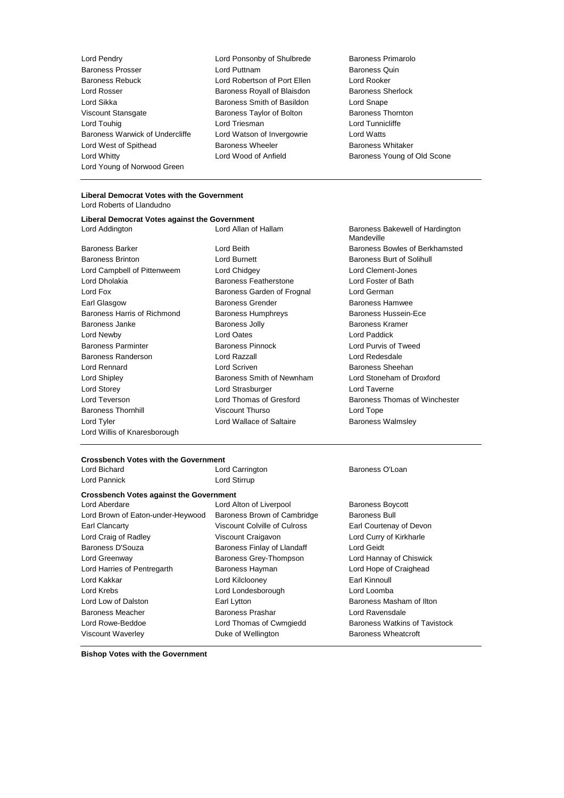Lord Pendry Lord Ponsonby of Shulbrede Baroness Primarolo Baroness Prosser **Example 2** Lord Puttnam **Baroness Quin**<br>Baroness Rebuck **Baroness Cuin Contract Contract Contract Contract Contract Contract Contract Contract Contract** Lord Rosser Baroness Royall of Blaisdon Baroness Sherlock Lord Sikka Baroness Smith of Basildon Lord Snape Viscount Stansgate **Baroness Taylor of Bolton** Baroness Thornton Lord Touhig Lord Triesman Lord Tunnicliffe Baroness Warwick of Undercliffe Lord Watson of Invergowrie Lord Watts Lord West of Spithead **Baroness Wheeler** Baroness Wheeler **Baroness Whitaker** Baroness Whitaker<br>
Lord Whitty **Baroness Young of Antield** Baroness Young of Lord Whitty Lord Wood of Anfield Baroness Young of Old Scone Lord Young of Norwood Green

Lord Robertson of Port Ellen

# **Liberal Democrat Votes with the Government**

Lord Roberts of Llandudno

# **Liberal Democrat Votes against the Government**

Baroness Brinton Lord Burnett Baroness Burt of Solihull Lord Campbell of Pittenweem Lord Chidgey Lord Clement-Jones Lord Dholakia Baroness Featherstone Lord Foster of Bath Lord Fox **Baroness Garden of Frognal** Lord German Lord German Earl Glasgow **Baroness Grender** Baroness Hamwee Baroness Hamwee Baroness Harris of Richmond Baroness Humphreys Baroness Hussein-Ece Baroness Janke **Baroness Jolly** Baroness Jolly **Baroness Kramer** Lord Newby Lord Oates Lord Paddick Baroness Parminter Baroness Pinnock Lord Purvis of Tweed Baroness Randerson Lord Razzall Lord Redesdale Lord Rennard **Lord Scriven** Baroness Sheehan Lord Shipley Baroness Smith of Newnham Lord Stoneham of Droxford Lord Storey Lord Strasburger Lord Taverne Baroness Thornhill **Same School Control Viscount Thurso** Control Lord Tope Lord Tyler **Lord Wallace of Saltaire Baroness Walmsley** Lord Willis of Knaresborough

Lord Addington **Lord Allan of Hallam** Baroness Bakewell of Hardington Mandeville Baroness Barker Lord Beith Baroness Bowles of Berkhamsted Lord Teverson **Lord Thomas of Gresford** Baroness Thomas of Winchester

# **Crossbench Votes with the Government**

Lord Pannick Lord Stirrup

Lord Carrington **Baroness O'Loan** 

## **Crossbench Votes against the Government**

Lord Aberdare **Lord Alton of Liverpool** Baroness Boycott Lord Brown of Eaton-under-Heywood Baroness Brown of Cambridge Baroness Bull Earl Clancarty Viscount Colville of Culross Earl Courtenay of Devon Lord Craig of Radley Viscount Craigavon Lord Curry of Kirkharle Baroness D'Souza **Baroness Finlay of Llandaff** Lord Geidt Lord Greenway Baroness Grey-Thompson Lord Hannay of Chiswick Lord Harries of Pentregarth Baroness Hayman Lord Hope of Craighead Lord Kakkar Lord Kilclooney Earl Kinnoull Lord Krebs Lord Londesborough Lord Loomba Lord Low of Dalston **Earl Lytton** Earl Lytton **Earl Lytton** Baroness Masham of Ilton Baroness Meacher **Baroness Prashar** Baroness Prashar Lord Ravensdale Lord Rowe-Beddoe **Lord Thomas of Cwmgiedd** Baroness Watkins of Tavistock Viscount Waverley **National State Outer Duke of Wellington** Baroness Wheatcroft

**Bishop Votes with the Government**